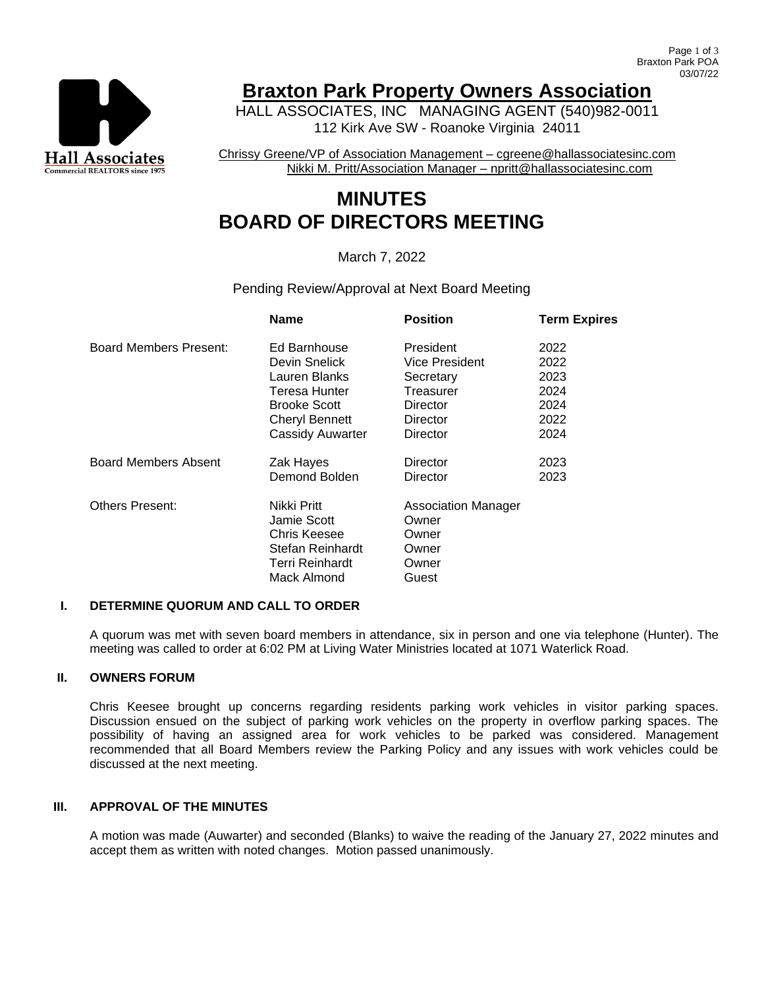

# **Braxton Park Property Owners Association**

HALL ASSOCIATES, INC MANAGING AGENT (540)982-0011 112 Kirk Ave SW - Roanoke Virginia 24011

Chrissy Greene/VP of Association Management – cgreene@hallassociatesinc.com Nikki M. Pritt/Association Manager – npritt@hallassociatesinc.com

# **MINUTES BOARD OF DIRECTORS MEETING**

## March 7, 2022

#### Pending Review/Approval at Next Board Meeting

|                             | <b>Name</b>           | <b>Position</b>     | <b>Term Expires</b> |
|-----------------------------|-----------------------|---------------------|---------------------|
| Board Members Present:      | Ed Barnhouse          | President           | 2022                |
|                             | Devin Snelick         | Vice President      | 2022                |
|                             | Lauren Blanks         | Secretary           | 2023                |
|                             | Teresa Hunter         | Treasurer           | 2024                |
|                             | <b>Brooke Scott</b>   | Director            | 2024                |
|                             | <b>Cheryl Bennett</b> | Director            | 2022                |
|                             | Cassidy Auwarter      | Director            | 2024                |
| <b>Board Members Absent</b> | Zak Hayes             | Director            | 2023                |
|                             | Demond Bolden         | Director            | 2023                |
| <b>Others Present:</b>      | Nikki Pritt           | Association Manager |                     |
|                             | Jamie Scott           | Owner               |                     |
|                             | Chris Keesee          | Owner               |                     |
|                             | Stefan Reinhardt      | Owner               |                     |
|                             | Terri Reinhardt       | Owner               |                     |
|                             | Mack Almond           | Guest               |                     |
|                             |                       |                     |                     |

#### **I. DETERMINE QUORUM AND CALL TO ORDER**

A quorum was met with seven board members in attendance, six in person and one via telephone (Hunter). The meeting was called to order at 6:02 PM at Living Water Ministries located at 1071 Waterlick Road.

#### **II. OWNERS FORUM**

Chris Keesee brought up concerns regarding residents parking work vehicles in visitor parking spaces. Discussion ensued on the subject of parking work vehicles on the property in overflow parking spaces. The possibility of having an assigned area for work vehicles to be parked was considered. Management recommended that all Board Members review the Parking Policy and any issues with work vehicles could be discussed at the next meeting.

### **III. APPROVAL OF THE MINUTES**

A motion was made (Auwarter) and seconded (Blanks) to waive the reading of the January 27, 2022 minutes and accept them as written with noted changes. Motion passed unanimously.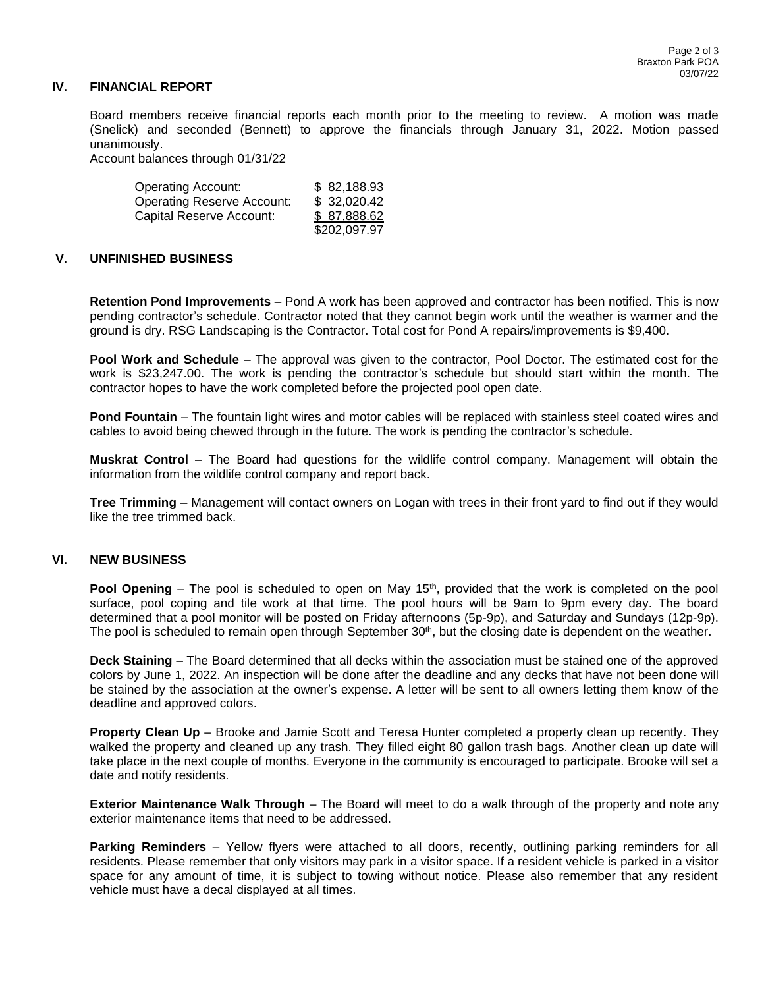#### **IV. FINANCIAL REPORT**

Board members receive financial reports each month prior to the meeting to review. A motion was made (Snelick) and seconded (Bennett) to approve the financials through January 31, 2022. Motion passed unanimously.

Account balances through 01/31/22

| <b>Operating Account:</b>         | \$82,188.93  |
|-----------------------------------|--------------|
| <b>Operating Reserve Account:</b> | \$32,020.42  |
| Capital Reserve Account:          | \$87.888.62  |
|                                   | \$202,097.97 |

#### **V. UNFINISHED BUSINESS**

**Retention Pond Improvements** – Pond A work has been approved and contractor has been notified. This is now pending contractor's schedule. Contractor noted that they cannot begin work until the weather is warmer and the ground is dry. RSG Landscaping is the Contractor. Total cost for Pond A repairs/improvements is \$9,400.

**Pool Work and Schedule** – The approval was given to the contractor, Pool Doctor. The estimated cost for the work is \$23,247.00. The work is pending the contractor's schedule but should start within the month. The contractor hopes to have the work completed before the projected pool open date.

**Pond Fountain** – The fountain light wires and motor cables will be replaced with stainless steel coated wires and cables to avoid being chewed through in the future. The work is pending the contractor's schedule.

**Muskrat Control** – The Board had questions for the wildlife control company. Management will obtain the information from the wildlife control company and report back.

**Tree Trimming** – Management will contact owners on Logan with trees in their front yard to find out if they would like the tree trimmed back.

#### **VI. NEW BUSINESS**

**Pool Opening** – The pool is scheduled to open on May 15<sup>th</sup>, provided that the work is completed on the pool surface, pool coping and tile work at that time. The pool hours will be 9am to 9pm every day. The board determined that a pool monitor will be posted on Friday afternoons (5p-9p), and Saturday and Sundays (12p-9p). The pool is scheduled to remain open through September 30<sup>th</sup>, but the closing date is dependent on the weather.

**Deck Staining** – The Board determined that all decks within the association must be stained one of the approved colors by June 1, 2022. An inspection will be done after the deadline and any decks that have not been done will be stained by the association at the owner's expense. A letter will be sent to all owners letting them know of the deadline and approved colors.

**Property Clean Up** – Brooke and Jamie Scott and Teresa Hunter completed a property clean up recently. They walked the property and cleaned up any trash. They filled eight 80 gallon trash bags. Another clean up date will take place in the next couple of months. Everyone in the community is encouraged to participate. Brooke will set a date and notify residents.

**Exterior Maintenance Walk Through** – The Board will meet to do a walk through of the property and note any exterior maintenance items that need to be addressed.

**Parking Reminders** – Yellow flyers were attached to all doors, recently, outlining parking reminders for all residents. Please remember that only visitors may park in a visitor space. If a resident vehicle is parked in a visitor space for any amount of time, it is subject to towing without notice. Please also remember that any resident vehicle must have a decal displayed at all times.